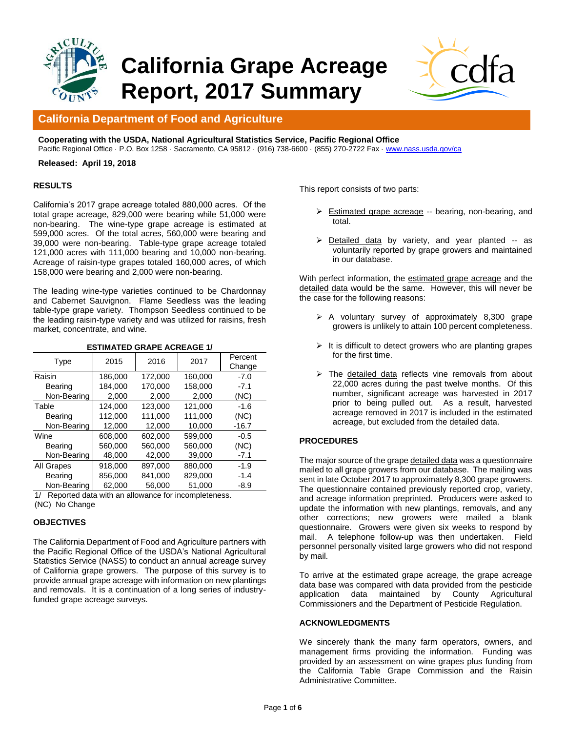

# **California Grape Acreage Report, 2017 Summary**



# **California Department of Food and Agriculture**

**Cooperating with the USDA, National Agricultural Statistics Service, Pacific Regional Office** Pacific Regional Office · P.O. Box 1258 · Sacramento, CA 95812 · (916) 738-6600 · (855) 270-2722 Fax [· www.nass.usda.gov/ca](http://www.nass.usda.gov/ca)

**Released: April 19, 2018**

#### **RESULTS**

California's 2017 grape acreage totaled 880,000 acres. Of the total grape acreage, 829,000 were bearing while 51,000 were non-bearing. The wine-type grape acreage is estimated at 599,000 acres. Of the total acres, 560,000 were bearing and 39,000 were non-bearing. Table-type grape acreage totaled 121,000 acres with 111,000 bearing and 10,000 non-bearing. Acreage of raisin-type grapes totaled 160,000 acres, of which 158,000 were bearing and 2,000 were non-bearing.

The leading wine-type varieties continued to be Chardonnay and Cabernet Sauvignon. Flame Seedless was the leading table-type grape variety. Thompson Seedless continued to be the leading raisin-type variety and was utilized for raisins, fresh market, concentrate, and wine.

| LVIIIIAI LP VIIAI LAVIILAVL I <i>I</i> |         |         |         |                   |  |  |  |  |  |  |
|----------------------------------------|---------|---------|---------|-------------------|--|--|--|--|--|--|
| Type                                   | 2015    | 2016    | 2017    | Percent<br>Change |  |  |  |  |  |  |
| Raisin                                 | 186.000 | 172.000 | 160.000 | $-7.0$            |  |  |  |  |  |  |
| Bearing                                | 184.000 | 170.000 | 158.000 | $-7.1$            |  |  |  |  |  |  |
| Non-Bearing                            | 2,000   | 2,000   | 2,000   | (NC)              |  |  |  |  |  |  |
| Table                                  | 124.000 | 123.000 | 121.000 | $-1.6$            |  |  |  |  |  |  |
| Bearing                                | 112.000 | 111.000 | 111.000 | (NC)              |  |  |  |  |  |  |
| Non-Bearing                            | 12,000  | 12.000  | 10.000  | -16.7             |  |  |  |  |  |  |
| Wine                                   | 608.000 | 602.000 | 599.000 | $-0.5$            |  |  |  |  |  |  |
| Bearing                                | 560.000 | 560.000 | 560,000 | (NC)              |  |  |  |  |  |  |
| Non-Bearing                            | 48,000  | 42,000  | 39,000  | $-7.1$            |  |  |  |  |  |  |
| All Grapes                             | 918.000 | 897.000 | 880.000 | $-1.9$            |  |  |  |  |  |  |
| Bearing                                | 856,000 | 841.000 | 829.000 | $-1.4$            |  |  |  |  |  |  |
| Non-Bearing                            | 62,000  | 56.000  | 51.000  | $-8.9$            |  |  |  |  |  |  |

**ESTIMATED GRAPE ACREAGE 1/** 

1/ Reported data with an allowance for incompleteness. (NC) No Change

### **OBJECTIVES**

The California Department of Food and Agriculture partners with the Pacific Regional Office of the USDA's National Agricultural Statistics Service (NASS) to conduct an annual acreage survey of California grape growers. The purpose of this survey is to provide annual grape acreage with information on new plantings and removals. It is a continuation of a long series of industryfunded grape acreage surveys.

This report consists of two parts:

- Estimated grape acreage -- bearing, non-bearing, and total.
- $\triangleright$  Detailed data by variety, and year planted -- as voluntarily reported by grape growers and maintained in our database.

With perfect information, the estimated grape acreage and the detailed data would be the same. However, this will never be the case for the following reasons:

- $\triangleright$  A voluntary survey of approximately 8,300 grape growers is unlikely to attain 100 percent completeness.
- $\triangleright$  It is difficult to detect growers who are planting grapes for the first time.
- $\triangleright$  The detailed data reflects vine removals from about 22,000 acres during the past twelve months. Of this number, significant acreage was harvested in 2017 prior to being pulled out. As a result, harvested acreage removed in 2017 is included in the estimated acreage, but excluded from the detailed data.

### **PROCEDURES**

The major source of the grape detailed data was a questionnaire mailed to all grape growers from our database. The mailing was sent in late October 2017 to approximately 8,300 grape growers. The questionnaire contained previously reported crop, variety, and acreage information preprinted. Producers were asked to update the information with new plantings, removals, and any other corrections; new growers were mailed a blank questionnaire. Growers were given six weeks to respond by mail. A telephone follow-up was then undertaken. Field personnel personally visited large growers who did not respond by mail.

To arrive at the estimated grape acreage, the grape acreage data base was compared with data provided from the pesticide application data maintained by County Agricultural Commissioners and the Department of Pesticide Regulation.

#### **ACKNOWLEDGMENTS**

We sincerely thank the many farm operators, owners, and management firms providing the information. Funding was provided by an assessment on wine grapes plus funding from the California Table Grape Commission and the Raisin Administrative Committee.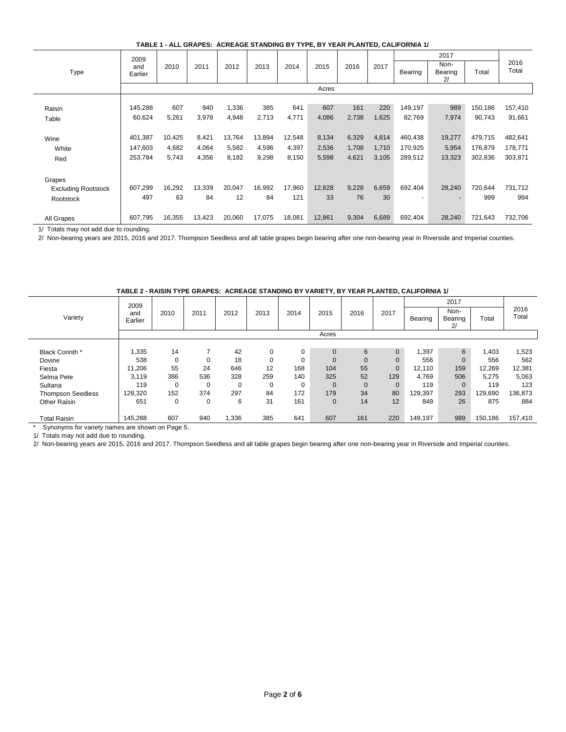|                            | 2009           |        |        |        |        |        |        |       |       |         | 2017                  |         |               |
|----------------------------|----------------|--------|--------|--------|--------|--------|--------|-------|-------|---------|-----------------------|---------|---------------|
| Type                       | and<br>Earlier | 2010   | 2011   | 2012   | 2013   | 2014   | 2015   | 2016  | 2017  | Bearing | Non-<br>Bearing<br>2/ | Total   | 2016<br>Total |
|                            |                |        |        |        |        |        | Acres  |       |       |         |                       |         |               |
|                            |                |        |        |        |        |        |        |       |       |         |                       |         |               |
| Raisin                     | 145,288        | 607    | 940    | 1,336  | 385    | 641    | 607    | 161   | 220   | 149,197 | 989                   | 150,186 | 157,410       |
| Table                      | 60,624         | 5,261  | 3,978  | 4,948  | 2,713  | 4,771  | 4,086  | 2,738 | 1,625 | 82,769  | 7,974                 | 90,743  | 91,661        |
|                            |                |        |        |        |        |        |        |       |       |         |                       |         |               |
| Wine                       | 401,387        | 10,425 | 8,421  | 13,764 | 13,894 | 12,548 | 8,134  | 6,329 | 4,814 | 460,438 | 19,277                | 479,715 | 482,641       |
| White                      | 147,603        | 4,682  | 4,064  | 5,582  | 4,596  | 4,397  | 2,536  | 1,708 | 1,710 | 170,925 | 5,954                 | 176,879 | 178,771       |
| Red                        | 253,784        | 5,743  | 4,356  | 8,182  | 9,298  | 8,150  | 5,598  | 4,621 | 3,105 | 289,512 | 13,323                | 302,836 | 303,871       |
|                            |                |        |        |        |        |        |        |       |       |         |                       |         |               |
| Grapes                     |                |        |        |        |        |        |        |       |       |         |                       |         |               |
| <b>Excluding Rootstock</b> | 607,299        | 16,292 | 13,339 | 20,047 | 16,992 | 17,960 | 12,828 | 9,228 | 6,659 | 692,404 | 28,240                | 720,644 | 731,712       |
| Rootstock                  | 497            | 63     | 84     | 12     | 84     | 121    | 33     | 76    | 30    | ٠       |                       | 999     | 994           |
|                            |                |        |        |        |        |        |        |       |       |         |                       |         |               |
| All Grapes                 | 607,795        | 16,355 | 13,423 | 20,060 | 17,075 | 18,081 | 12,861 | 9,304 | 6,689 | 692,404 | 28,240                | 721,643 | 732,706       |

1/ Totals may not add due to rounding.

2/ Non-bearing years are 2015, 2016 and 2017. Thompson Seedless and all table grapes begin bearing after one non-bearing year in Riverside and Imperial counties.

|                          | 2009           |          |                |          |          |      |              |              |                |         |                       |         |               |
|--------------------------|----------------|----------|----------------|----------|----------|------|--------------|--------------|----------------|---------|-----------------------|---------|---------------|
| Variety                  | and<br>Earlier | 2010     | 2011           | 2012     | 2013     | 2014 | 2015         | 2016         | 2017           | Bearing | Non-<br>Bearing<br>2/ | Total   | 2016<br>Total |
|                          |                |          |                |          |          |      | Acres        |              |                |         |                       |         |               |
|                          |                |          |                |          |          |      |              |              |                |         |                       |         |               |
| Black Corinth *          | 1,335          | 14       | $\overline{ }$ | 42       | 0        | 0    | $\Omega$     | 6            | $\mathbf 0$    | 1,397   | 6                     | 1,403   | 1,523         |
| Dovine                   | 538            | 0        | 0              | 18       | 0        | 0    | $\mathbf{0}$ | $\mathbf{0}$ | $\mathbf 0$    | 556     | $\mathbf{0}$          | 556     | 562           |
| Fiesta                   | 11,206         | 55       | 24             | 646      | 12       | 168  | 104          | 55           | $\overline{0}$ | 12.110  | 159                   | 12,269  | 12,381        |
| Selma Pete               | 3,119          | 386      | 536            | 328      | 259      | 140  | 325          | 52           | 129            | 4,769   | 506                   | 5,275   | 5,063         |
| Sultana                  | 119            | $\Omega$ | 0              | $\Omega$ | $\Omega$ | 0    | $\Omega$     | $\mathbf{0}$ | $\mathbf 0$    | 119     | $\Omega$              | 119     | 123           |
| <b>Thompson Seedless</b> | 128,320        | 152      | 374            | 297      | 84       | 172  | 179          | 34           | 80             | 129,397 | 293                   | 129,690 | 136,873       |
| Other Raisin             | 651            | 0        | 0              | 6        | 31       | 161  | $\mathbf{0}$ | 14           | 12             | 849     | 26                    | 875     | 884           |
|                          |                |          |                |          |          |      |              |              |                |         |                       |         |               |
| <b>Total Raisin</b>      | 145,288        | 607      | 940            | 1,336    | 385      | 641  | 607          | 161          | 220            | 149,197 | 989                   | 150,186 | 157,410       |

**TABLE 2 - RAISIN TYPE GRAPES: ACREAGE STANDING BY VARIETY, BY YEAR PLANTED, CALIFORNIA 1/**

\* Synonyms for variety names are shown on Page 5.

1/ Totals may not add due to rounding.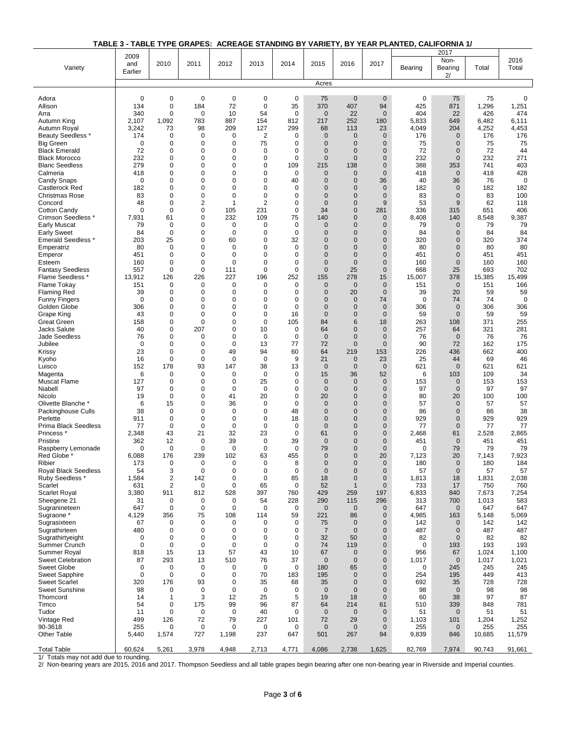## **TABLE 3 - TABLE TYPE GRAPES: ACREAGE STANDING BY VARIETY, BY YEAR PLANTED, CALIFORNIA 1/**

|                                               | 2009        |                              |                   |                            |                            |                   |                                |                               |                             |              | 2017                        |              |               |
|-----------------------------------------------|-------------|------------------------------|-------------------|----------------------------|----------------------------|-------------------|--------------------------------|-------------------------------|-----------------------------|--------------|-----------------------------|--------------|---------------|
| Variety                                       | and         | 2010                         | 2011              | 2012                       | 2013                       | 2014              | 2015                           | 2016                          | 2017                        | Bearing      | Non-<br>Bearing             | Total        | 2016<br>Total |
|                                               | Earlier     |                              |                   |                            |                            |                   |                                |                               |                             |              | 2/                          |              |               |
|                                               |             |                              |                   |                            |                            |                   | Acres                          |                               |                             |              |                             |              |               |
| Adora                                         | $\mathbf 0$ | 0                            | 0                 | 0                          | 0                          | $\mathbf 0$       | 75                             | $\mathbf 0$                   | $\mathbf 0$                 | 0            | 75                          | 75           | 0             |
| Allison                                       | 134         | $\mathbf 0$                  | 184               | 72                         | $\mathbf 0$                | 35                | 370                            | 407                           | 94                          | 425          | 871                         | 1,296        | 1,251         |
| Arra                                          | 340         | $\mathbf 0$                  | 0                 | 10                         | 54                         | $\mathbf 0$       | $\mathbf{0}$                   | 22                            | $\overline{0}$              | 404          | 22                          | 426          | 474           |
| Autumn King                                   | 2,107       | 1,092                        | 783               | 887                        | 154                        | 812               | 217                            | 252                           | 180                         | 5,833        | 649                         | 6,482        | 6,111         |
| Autumn Royal                                  | 3,242       | 73                           | 98                | 209                        | 127                        | 299               | 68                             | 113                           | 23                          | 4,049        | 204                         | 4,252        | 4,453         |
| <b>Beauty Seedless *</b>                      | 174         | $\mathbf 0$                  | 0                 | $\mathbf 0$                | $\overline{\mathbf{c}}$    | 0                 | $\overline{0}$                 | $\mathbf{0}$                  | $\mathbf{0}$                | 176          | $\overline{0}$              | 176          | 176           |
| <b>Big Green</b>                              | 0           | 0                            | 0                 | $\mathbf 0$                | 75                         | 0                 | $\mathbf 0$                    | $\mathbf 0$                   | $\mathbf 0$                 | 75           | $\overline{0}$              | 75           | 75            |
| <b>Black Emerald</b>                          | 72          | 0<br>$\mathbf 0$             | 0<br>$\mathbf 0$  | $\mathbf 0$<br>$\mathbf 0$ | 0<br>$\mathbf 0$           | 0<br>$\mathbf 0$  | $\overline{0}$<br>$\mathbf{0}$ | $\mathbf{0}$<br>$\mathbf{0}$  | $\mathbf 0$<br>$\mathbf{0}$ | 72           | $\mathbf 0$                 | 72           | 44            |
| <b>Black Morocco</b><br><b>Blanc Seedless</b> | 232<br>279  | 0                            | 0                 | $\mathbf 0$                | 0                          | 109               | 215                            | 138                           | $\mathbf 0$                 | 232<br>388   | $\mathbf 0$<br>353          | 232<br>741   | 271<br>403    |
| Calmeria                                      | 418         | $\mathbf 0$                  | 0                 | $\mathbf 0$                | 0                          | $\mathbf 0$       | $\mathbf{0}$                   | $\mathbf{0}$                  | $\mathbf{0}$                | 418          | $\mathbf{0}$                | 418          | 428           |
| Candy Snaps                                   | $\mathbf 0$ | $\mathbf 0$                  | 0                 | $\mathbf 0$                | 0                          | 40                | $\mathbf{0}$                   | $\mathbf{0}$                  | 36                          | 40           | 36                          | 76           | $\mathbf 0$   |
| Castlerock Red                                | 182         | 0                            | 0                 | $\mathbf 0$                | 0                          | 0                 | $\overline{0}$                 | $\mathbf{0}$                  | $\overline{0}$              | 182          | $\overline{0}$              | 182          | 182           |
| <b>Christmas Rose</b>                         | 83          | $\mathbf 0$                  | 0                 | $\mathbf 0$                | $\mathbf 0$                | 0                 | $\overline{0}$                 | $\mathbf{0}$                  | $\mathbf{0}$                | 83           | $\mathbf 0$                 | 83           | 100           |
| Concord                                       | 48          | 0                            | 2                 | $\mathbf{1}$               | $\overline{2}$             | 0                 | $\Omega$                       | $\mathbf 0$                   | 9                           | 53           | 9                           | 62           | 118           |
| Cotton Candy<br>Crimson Seedless *            | 0<br>7,931  | 0<br>61                      | 0<br>0            | 105<br>232                 | 231<br>109                 | 0<br>75           | 34<br>140                      | $\mathbf 0$<br>$\overline{0}$ | 281<br>$\mathbf 0$          | 336<br>8,408 | 315<br>140                  | 651<br>8,548 | 406<br>9,387  |
| <b>Early Muscat</b>                           | 79          | 0                            | 0                 | $\mathbf 0$                | 0                          | 0                 | $\mathbf 0$                    | $\mathbf{0}$                  | $\mathbf 0$                 | 79           | $\overline{0}$              | 79           | 79            |
| <b>Early Sweet</b>                            | 84          | $\mathbf 0$                  | 0                 | $\mathbf 0$                | 0                          | 0                 | $\mathbf 0$                    | $\mathbf{0}$                  | $\mathbf{0}$                | 84           | $\overline{0}$              | 84           | 84            |
| <b>Emerald Seedless *</b>                     | 203         | 25                           | 0                 | 60                         | $\mathbf 0$                | 32                | $\overline{0}$                 | $\overline{0}$                | $\mathbf 0$                 | 320          | $\overline{0}$              | 320          | 374           |
| Emperatriz                                    | 80          | $\mathbf 0$                  | 0                 | $\mathbf 0$                | 0                          | 0                 | $\overline{0}$                 | $\mathbf{0}$                  | $\mathbf 0$                 | 80           | $\overline{0}$              | 80           | 80            |
| Emperor                                       | 451         | $\mathbf 0$                  | 0                 | $\mathbf 0$                | $\mathbf 0$                | $\mathbf 0$       | $\overline{0}$                 | $\mathbf{0}$                  | $\mathbf{0}$                | 451          | $\overline{0}$              | 451          | 451           |
| Esteem<br><b>Fantasy Seedless</b>             | 160<br>557  | $\mathbf 0$<br>$\mathbf 0$   | 0<br>0            | $\mathbf 0$<br>111         | 0<br>0                     | 0<br>0            | $\overline{0}$<br>$\mathbf{0}$ | $\mathbf 0$<br>25             | $\mathbf 0$<br>$\mathbf 0$  | 160<br>668   | $\overline{0}$<br>25        | 160<br>693   | 160<br>702    |
| Flame Seedless *                              | 13,912      | 126                          | 226               | 227                        | 196                        | 252               | 155                            | 278                           | 15                          | 15,007       | 378                         | 15,385       | 15,499        |
| Flame Tokay                                   | 151         | 0                            | 0                 | 0                          | 0                          | 0                 | $\mathbf 0$                    | $\mathbf 0$                   | $\mathbf 0$                 | 151          | $\mathbf{0}$                | 151          | 166           |
| <b>Flaming Red</b>                            | 39          | 0                            | 0                 | $\mathbf 0$                | 0                          | 0                 | $\overline{0}$                 | 20                            | $\mathbf 0$                 | 39           | 20                          | 59           | 59            |
| <b>Funny Fingers</b>                          | $\Omega$    | $\mathbf 0$                  | $\Omega$          | 0                          | $\Omega$                   | $\mathbf 0$       | $\Omega$                       | $\mathbf{0}$                  | 74                          | $\mathbf 0$  | 74                          | 74           | $\mathbf 0$   |
| Golden Globe                                  | 306         | 0                            | 0                 | $\mathbf 0$                | 0                          | 0                 | $\overline{0}$                 | $\mathbf 0$                   | $\mathbf 0$                 | 306          | $\overline{0}$              | 306          | 306           |
| Grape King<br><b>Great Green</b>              | 43<br>158   | $\mathbf 0$<br>$\mathbf 0$   | 0<br>$\mathbf 0$  | $\mathbf 0$<br>0           | $\mathbf 0$<br>$\mathbf 0$ | 16<br>105         | $\mathbf{0}$<br>84             | $\mathbf{0}$<br>6             | $\mathbf{0}$<br>18          | 59<br>263    | $\mathbf 0$<br>108          | 59<br>371    | 59<br>255     |
| Jacks Salute                                  | 40          | $\mathbf 0$                  | 207               | $\mathbf 0$                | 10                         | 0                 | 64                             | $\mathbf{0}$                  | $\mathbf{0}$                | 257          | 64                          | 321          | 281           |
| <b>Jade Seedless</b>                          | 76          | $\mathbf 0$                  | 0                 | $\mathbf 0$                | 0                          | 0                 | $\mathbf{0}$                   | $\mathbf{0}$                  | $\mathbf{0}$                | 76           | $\overline{0}$              | 76           | 76            |
| Jubilee                                       | $\mathbf 0$ | $\mathbf 0$                  | 0                 | $\mathbf 0$                | 13                         | 77                | 72                             | $\mathbf{0}$                  | $\overline{0}$              | 90           | 72                          | 162          | 175           |
| Krissy                                        | 23          | $\mathbf 0$                  | 0                 | 49                         | 94                         | 60                | 64                             | 219                           | 153                         | 226          | 436                         | 662          | 400           |
| Kyoho                                         | 16          | $\mathbf 0$                  | 0                 | $\mathbf 0$                | $\mathbf 0$                | 9                 | 21                             | $\mathbf 0$                   | 23                          | 25           | 44                          | 69           | 46            |
| Luisco                                        | 152<br>6    | 178<br>$\mathbf 0$           | 93<br>$\mathbf 0$ | 147<br>$\mathbf 0$         | 38<br>$\mathbf 0$          | 13<br>$\mathbf 0$ | $\overline{0}$<br>15           | $\mathbf{0}$<br>36            | $\mathbf 0$<br>52           | 621<br>6     | $\overline{0}$<br>103       | 621<br>109   | 621<br>34     |
| Magenta<br>Muscat Flame                       | 127         | $\mathbf 0$                  | 0                 | $\mathbf 0$                | 25                         | 0                 | $\mathbf 0$                    | $\mathbf 0$                   | $\mathbf{0}$                | 153          | $\mathbf 0$                 | 153          | 153           |
| Niabell                                       | 97          | 0                            | 0                 | $\mathbf 0$                | 0                          | 0                 | $\overline{0}$                 | $\mathbf{0}$                  | $\mathbf 0$                 | 97           | $\mathbf 0$                 | 97           | 97            |
| Nicolo                                        | 19          | $\mathbf 0$                  | 0                 | 41                         | 20                         | $\mathbf 0$       | 20                             | $\mathbf{0}$                  | $\mathbf{0}$                | 80           | 20                          | 100          | 100           |
| Olivette Blanche *                            | 6           | 15                           | 0                 | 36                         | 0                          | 0                 | $\mathbf 0$                    | $\mathbf{0}$                  | $\mathbf 0$                 | 57           | $\overline{0}$              | 57           | 57            |
| Packinghouse Culls<br>Perlette                | 38          | $\mathbf 0$<br>$\mathbf 0$   | 0                 | $\mathbf 0$<br>$\mathbf 0$ | 0                          | 48                | $\overline{0}$                 | $\mathbf{0}$                  | $\mathbf 0$<br>$\mathbf{0}$ | 86           | $\mathbf 0$                 | 86           | 38            |
| <b>Prima Black Seedless</b>                   | 911<br>77   | 0                            | 0<br>0            | $\mathbf 0$                | 0<br>0                     | 18<br>0           | $\mathbf{0}$<br>$\overline{0}$ | $\mathbf{0}$<br>$\mathbf 0$   | $\mathbf 0$                 | 929<br>77    | $\mathbf 0$<br>$\mathbf 0$  | 929<br>77    | 929<br>77     |
| Princess                                      | 2,348       | 43                           | 21                | 32                         | 23                         | 0                 | 61                             | $\mathbf{0}$                  | $\mathbf{0}$                | 2,468        | 61                          | 2,528        | 2,865         |
| Pristine                                      | 362         | 12                           | 0                 | 39                         | $\mathbf 0$                | 39                | $\overline{0}$                 | $\mathbf{0}$                  | $\mathbf{0}$                | 451          | $\mathbf{0}$                | 451          | 451           |
| Raspberry Lemonade                            | 0           | 0                            | 0                 | $\mathbf 0$                | 0                          | 0                 | 79                             | $\mathbf{0}$                  | $\mathbf{0}$                | 0            | 79                          | 79           | 79            |
| Red Globe *                                   | 6,088       | 176                          | 239               | 102                        | 63                         | 455               | $\Omega$                       | $\Omega$                      | 20                          | 7,123        | 20                          | 7,143        | 7,923         |
| Ribier                                        | 173         | 0                            | 0                 | 0                          | 0                          | 8                 | 0                              | $\mathbf 0$                   | $\mathbf 0$                 | 180          | 0                           | 180          | 184           |
| Royal Black Seedless<br>Ruby Seedless *       | 54<br>1,584 | 3<br>$\overline{\mathbf{c}}$ | 0<br>142          | 0<br>$\mathbf 0$           | 0<br>0                     | $\mathbf 0$<br>85 | $\mathbf 0$<br>18              | $\mathbf 0$<br>$\mathbf 0$    | $\mathbf 0$<br>$\mathbf 0$  | 57<br>1,813  | $\mathbf 0$<br>18           | 57<br>1,831  | 57<br>2,038   |
| Scarlet                                       | 631         | $\overline{2}$               | 0                 | $\mathbf 0$                | 65                         | 0                 | 52                             | $\mathbf{1}$                  | $\mathbf{0}$                | 733          | 17                          | 750          | 760           |
| Scarlet Royal                                 | 3,380       | 911                          | 812               | 528                        | 397                        | 760               | 429                            | 259                           | 197                         | 6,833        | 840                         | 7,673        | 7,254         |
| Sheegene 21                                   | 31          | 0                            | 0                 | 0                          | 54                         | 228               | 290                            | 115                           | 296                         | 313          | 700                         | 1,013        | 583           |
| Sugranineteen                                 | 647         | 0                            | 0                 | 0                          | 0                          | 0                 | $\mathbf{0}$                   | $\mathbf 0$                   | $\mathbf 0$                 | 647          | $\mathbf{0}$                | 647          | 647           |
| Sugraone *                                    | 4,129       | 356                          | 75                | 108                        | 114                        | 59                | 221                            | 86                            | $\mathbf 0$                 | 4,985        | 163                         | 5,148        | 5,069         |
| Sugrasixteen<br>Sugrathirteen                 | 67<br>480   | 0<br>0                       | 0<br>0            | $\mathbf 0$<br>$\mathbf 0$ | 0<br>0                     | 0<br>0            | 75<br>$\overline{7}$           | $\mathbf 0$<br>$\mathbf 0$    | $\mathbf{0}$<br>$\mathbf 0$ | 142<br>487   | $\mathbf 0$<br>$\mathbf{0}$ | 142<br>487   | 142<br>487    |
| Sugrathirtyeight                              | 0           | $\Omega$                     | 0                 | $\mathbf 0$                | 0                          | $\mathbf 0$       | 32                             | 50                            | $\mathbf{0}$                | 82           | $\mathbf{0}$                | 82           | 82            |
| Summer Crunch                                 | $\mathbf 0$ | 0                            | 0                 | $\mathbf 0$                | 0                          | 0                 | 74                             | 119                           | $\mathbf{0}$                | 0            | 193                         | 193          | 193           |
| <b>Summer Royal</b>                           | 818         | 15                           | 13                | 57                         | 43                         | 10                | 67                             | $\mathbf{0}$                  | $\mathbf 0$                 | 956          | 67                          | 1,024        | 1,100         |
| <b>Sweet Celebration</b>                      | 87          | 293                          | 13                | 510                        | 76                         | 37                | $\mathbf{0}$                   | $\mathbf{0}$                  | $\mathbf{0}$                | 1,017        | $\mathbf 0$                 | 1,017        | 1,021         |
| <b>Sweet Globe</b>                            | 0           | 0                            | 0                 | 0                          | 0                          | 0                 | 180                            | 65                            | $\mathbf 0$                 | 0            | 245                         | 245          | 245           |
| <b>Sweet Sapphire</b>                         | $\mathbf 0$ | $\mathbf 0$                  | 0                 | 0<br>$\mathbf 0$           | 70                         | 183               | 195                            | $\mathbf{0}$                  | $\mathbf 0$<br>$\mathbf{0}$ | 254          | 195                         | 449          | 413           |
| <b>Sweet Scarlet</b><br><b>Sweet Sunshine</b> | 320<br>98   | 176<br>0                     | 93<br>0           | 0                          | 35<br>0                    | 68<br>0           | 35<br>$\mathbf 0$              | $\mathbf{0}$<br>$\mathbf 0$   | $\mathbf{0}$                | 692<br>98    | 35<br>$\mathbf{0}$          | 728<br>98    | 728<br>98     |
| Thomcord                                      | 14          | $\mathbf{1}$                 | 3                 | 12                         | 25                         | 5                 | 19                             | 18                            | $\mathbf{0}$                | 60           | 38                          | 97           | 87            |
| Timco                                         | 54          | $\mathbf 0$                  | 175               | 99                         | 96                         | 87                | 64                             | 214                           | 61                          | 510          | 339                         | 848          | 781           |
| Tudor                                         | 11          | 0                            | 0                 | 0                          | 40                         | 0                 | $\mathbf 0$                    | $\mathbf 0$                   | $\mathbf 0$                 | 51           | $\mathbf 0$                 | 51           | 51            |
| Vintage Red                                   | 499         | 126                          | 72                | 79                         | 227                        | 101               | 72                             | 29                            | $\mathbf{0}$                | 1,103        | 101                         | 1,204        | 1,252         |
| 90-3618                                       | 255         | 0                            | 0                 | 0                          | 0                          | 0                 | $\mathbf{0}$                   | $\mathbf 0$                   | $\mathbf{0}$                | 255          | $\mathbf 0$                 | 255          | 255           |
| <b>Other Table</b>                            | 5,440       | 1,574                        | 727               | 1,198                      | 237                        | 647               | 501                            | 267                           | 94                          | 9,839        | 846                         | 10,685       | 11,579        |
| <b>Total Table</b>                            | 60,624      | 5,261                        | 3,978             | 4,948                      | 2,713                      | 4,771             | 4,086                          | 2,738                         | 1,625                       | 82,769       | 7,974                       | 90,743       | 91,661        |

1/ Totals may not add due to rounding.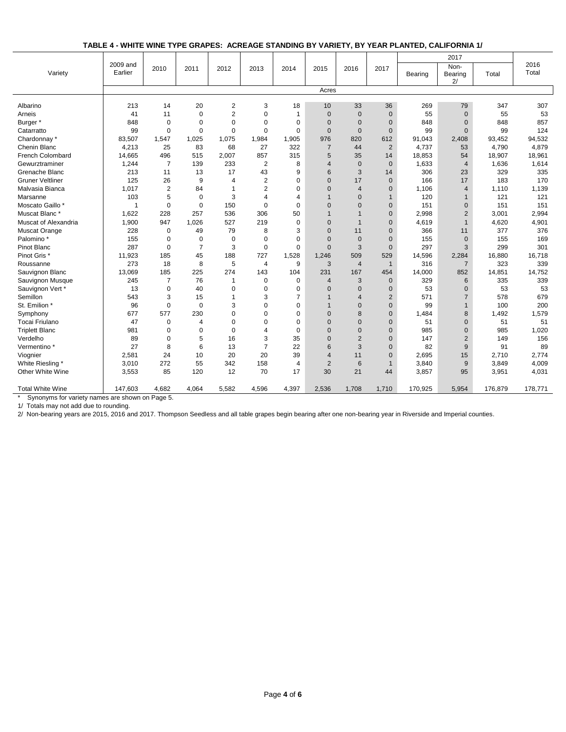**TABLE 4 - WHITE WINE TYPE GRAPES: ACREAGE STANDING BY VARIETY, BY YEAR PLANTED, CALIFORNIA 1/**

|                                                 |                     |                |                |                         |                |                |                |                |                |         | 2017                  |         |               |
|-------------------------------------------------|---------------------|----------------|----------------|-------------------------|----------------|----------------|----------------|----------------|----------------|---------|-----------------------|---------|---------------|
| Variety                                         | 2009 and<br>Earlier | 2010           | 2011           | 2012                    | 2013           | 2014           | 2015           | 2016           | 2017           | Bearing | Non-<br>Bearing<br>2/ | Total   | 2016<br>Total |
|                                                 |                     |                |                |                         |                |                | Acres          |                |                |         |                       |         |               |
| Albarino                                        | 213                 | 14             | 20             | $\overline{\mathbf{c}}$ | 3              | 18             | 10             | 33             | 36             | 269     | 79                    | 347     | 307           |
| Arneis                                          | 41                  | 11             | $\mathbf 0$    | $\overline{2}$          | $\mathbf 0$    | $\mathbf{1}$   | $\mathbf{0}$   | $\mathbf{0}$   | $\overline{0}$ | 55      | $\mathbf{0}$          | 55      | 53            |
| Burger *                                        | 848                 | $\mathbf 0$    | $\Omega$       | 0                       | $\Omega$       | $\Omega$       | $\Omega$       | $\Omega$       | $\Omega$       | 848     | $\Omega$              | 848     | 857           |
| Catarratto                                      | 99                  | $\mathbf 0$    | $\mathbf 0$    | 0                       | $\Omega$       | $\Omega$       | $\mathbf{0}$   | $\Omega$       | $\Omega$       | 99      | $\Omega$              | 99      | 124           |
| Chardonnay *                                    | 83,507              | 1,547          | 1,025          | 1,075                   | 1,984          | 1,905          | 976            | 820            | 612            | 91,043  | 2,408                 | 93,452  | 94,532        |
| Chenin Blanc                                    | 4,213               | 25             | 83             | 68                      | 27             | 322            | $\overline{7}$ | 44             | $\overline{2}$ | 4,737   | 53                    | 4,790   | 4,879         |
| French Colombard                                | 14,665              | 496            | 515            | 2,007                   | 857            | 315            | 5              | 35             | 14             | 18,853  | 54                    | 18,907  | 18,961        |
| Gewurztraminer                                  | 1,244               | $\overline{7}$ | 139            | 233                     | 2              | 8              | $\overline{4}$ | $\mathbf{0}$   | $\mathbf{0}$   | 1,633   | $\overline{4}$        | 1,636   | 1,614         |
| Grenache Blanc                                  | 213                 | 11             | 13             | 17                      | 43             | 9              | 6              | 3              | 14             | 306     | 23                    | 329     | 335           |
| <b>Gruner Veltliner</b>                         | 125                 | 26             | 9              | 4                       | $\overline{2}$ | $\Omega$       | $\Omega$       | 17             | $\mathbf{0}$   | 166     | 17                    | 183     | 170           |
| Malvasia Bianca                                 | 1,017               | $\overline{c}$ | 84             | 1                       | $\overline{2}$ | $\Omega$       | $\overline{0}$ | $\overline{4}$ | $\mathbf{0}$   | 1,106   | $\overline{4}$        | 1,110   | 1,139         |
| Marsanne                                        | 103                 | 5              | $\mathbf 0$    | 3                       | 4              | $\overline{4}$ | 1              | $\overline{0}$ | $\mathbf{1}$   | 120     | $\mathbf{1}$          | 121     | 121           |
| Moscato Gaillo *                                | 1                   | $\mathbf 0$    | $\mathbf 0$    | 150                     | $\overline{0}$ | $\Omega$       | $\overline{0}$ | $\Omega$       | $\mathbf{0}$   | 151     | $\mathbf{0}$          | 151     | 151           |
| Muscat Blanc*                                   | 1,622               | 228            | 257            | 536                     | 306            | 50             | $\mathbf{1}$   | $\overline{1}$ | $\mathbf{0}$   | 2,998   | $\overline{2}$        | 3,001   | 2,994         |
| Muscat of Alexandria                            | 1,900               | 947            | 1,026          | 527                     | 219            | $\mathbf 0$    | $\mathbf{0}$   | $\mathbf{1}$   | $\mathbf{0}$   | 4,619   | $\mathbf{1}$          | 4,620   | 4,901         |
| Muscat Orange                                   | 228                 | $\mathbf 0$    | 49             | 79                      | 8              | 3              | $\Omega$       | 11             | $\mathbf{0}$   | 366     | 11                    | 377     | 376           |
| Palomino*                                       | 155                 | 0              | $\mathbf 0$    | $\mathbf 0$             | 0              | $\Omega$       | $\Omega$       | $\mathbf{0}$   | $\mathbf{0}$   | 155     | $\mathbf{0}$          | 155     | 169           |
| Pinot Blanc                                     | 287                 | $\mathbf 0$    | $\overline{7}$ | 3                       | 0              | $\mathbf 0$    | $\mathbf{0}$   | 3              | $\Omega$       | 297     | 3                     | 299     | 301           |
| Pinot Gris <sup>*</sup>                         | 11,923              | 185            | 45             | 188                     | 727            | 1.528          | 1,246          | 509            | 529            | 14,596  | 2,284                 | 16,880  | 16,718        |
| Roussanne                                       | 273                 | 18             | 8              | 5                       | $\overline{4}$ | 9              | 3              | $\overline{4}$ | $\overline{1}$ | 316     | $\overline{7}$        | 323     | 339           |
| Sauvignon Blanc                                 | 13,069              | 185            | 225            | 274                     | 143            | 104            | 231            | 167            | 454            | 14,000  | 852                   | 14,851  | 14,752        |
| Sauvignon Musque                                | 245                 | $\overline{7}$ | 76             | $\mathbf{1}$            | 0              | $\Omega$       | $\overline{4}$ | 3              | $\Omega$       | 329     | 6                     | 335     | 339           |
| Sauvignon Vert*                                 | 13                  | $\mathbf 0$    | 40             | $\mathbf 0$             | $\mathbf 0$    | $\mathbf 0$    | $\mathbf{0}$   | $\mathbf{0}$   | $\mathbf{0}$   | 53      | $\mathbf 0$           | 53      | 53            |
| Semillon                                        | 543                 | 3              | 15             | 1                       | 3              | $\overline{7}$ | $\mathbf{1}$   | $\overline{4}$ | $\overline{2}$ | 571     | $\overline{7}$        | 578     | 679           |
| St. Emilion *                                   | 96                  | 0              | $\mathbf 0$    | 3                       | 0              | $\Omega$       |                | $\overline{0}$ | $\mathbf{0}$   | 99      | $\mathbf{1}$          | 100     | 200           |
| Symphony                                        | 677                 | 577            | 230            | $\Omega$                | $\Omega$       | $\Omega$       | $\Omega$       | 8              | $\Omega$       | 1,484   | 8                     | 1,492   | 1,579         |
| Tocai Friulano                                  | 47                  | 0              | $\overline{4}$ | 0                       | $\Omega$       | $\Omega$       | $\mathbf{0}$   | $\mathbf{0}$   | $\mathbf{0}$   | 51      | $\mathbf 0$           | 51      | 51            |
| <b>Triplett Blanc</b>                           | 981                 | 0              | $\mathbf 0$    | $\mathbf 0$             | 4              | $\Omega$       | $\overline{0}$ | $\overline{0}$ | $\mathbf{0}$   | 985     | $\mathbf{0}$          | 985     | 1,020         |
| Verdelho                                        | 89                  | 0              | 5              | 16                      | 3              | 35             | $\overline{0}$ | $\overline{2}$ | $\mathbf{0}$   | 147     | $\overline{2}$        | 149     | 156           |
| Vermentino <sup>*</sup>                         | 27                  | 8              | 6              | 13                      | $\overline{7}$ | 22             | 6              | 3              | $\mathbf{0}$   | 82      | 9                     | 91      | 89            |
| Viognier                                        | 2,581               | 24             | 10             | 20                      | 20             | 39             | $\overline{4}$ | 11             | $\Omega$       | 2,695   | 15                    | 2,710   | 2,774         |
| White Riesling *                                | 3,010               | 272            | 55             | 342                     | 158            | $\overline{4}$ | 2              | 6              | $\mathbf{1}$   | 3,840   | 9                     | 3,849   | 4,009         |
| Other White Wine                                | 3,553               | 85             | 120            | 12                      | 70             | 17             | 30             | 21             | 44             | 3,857   | 95                    | 3,951   | 4,031         |
|                                                 |                     |                |                |                         |                |                |                |                |                |         |                       |         |               |
| <b>Total White Wine</b>                         | 147,603             | 4,682          | 4,064          | 5,582                   | 4,596          | 4,397          | 2,536          | 1,708          | 1,710          | 170,925 | 5,954                 | 176,879 | 178,771       |
| Synonyms for variety names are shown on Page 5. |                     |                |                |                         |                |                |                |                |                |         |                       |         |               |

1/ Totals may not add due to rounding.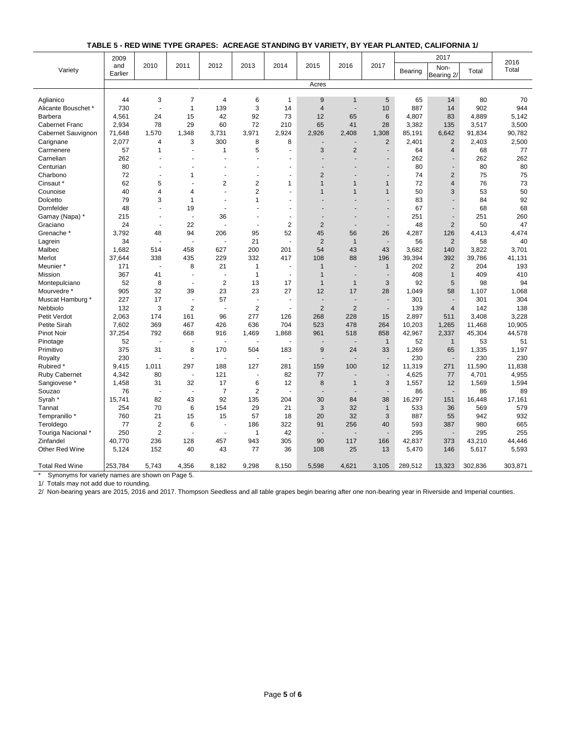| TABLE 5 - RED WINE TYPE GRAPES: ACREAGE STANDING BY VARIETY. BY YEAR PLANTED. CALIFORNIA 1/ |  |  |  |
|---------------------------------------------------------------------------------------------|--|--|--|
|---------------------------------------------------------------------------------------------|--|--|--|

|                       | 2009           |                          |                          |                          |                      |                          |                          |                          |                          |         | 2017           |         | 2016    |
|-----------------------|----------------|--------------------------|--------------------------|--------------------------|----------------------|--------------------------|--------------------------|--------------------------|--------------------------|---------|----------------|---------|---------|
| Variety               | and<br>Earlier | 2010                     | 2011                     | 2012                     | 2013                 | 2014                     | 2015                     | 2016                     | 2017                     | Bearing | Non-           | Total   | Total   |
|                       |                |                          |                          |                          |                      |                          |                          |                          |                          |         | Bearing 2/     |         |         |
|                       |                |                          |                          |                          |                      |                          | Acres                    |                          |                          |         |                |         |         |
| Aglianico             | 44             | 3                        | $\overline{7}$           | 4                        | 6                    | $\mathbf{1}$             | 9                        | $\mathbf{1}$             | 5                        | 65      | 14             | 80      | 70      |
| Alicante Bouschet *   | 730            | $\ddot{\phantom{a}}$     | $\mathbf{1}$             | 139                      | 3                    | 14                       | $\overline{4}$           | $\blacksquare$           | 10                       | 887     | 14             | 902     | 944     |
| Barbera               | 4,561          | 24                       | 15                       | 42                       | 92                   | 73                       | 12                       | 65                       | 6                        | 4,807   | 83             | 4,889   | 5,142   |
| Cabernet Franc        | 2,934          | 78                       | 29                       | 60                       | 72                   | 210                      | 65                       | 41                       | 28                       | 3,382   | 135            | 3,517   | 3,500   |
| Cabernet Sauvignon    | 71,648         | 1,570                    | 1,348                    | 3,731                    | 3,971                | 2,924                    | 2,926                    | 2,408                    | 1,308                    | 85,191  | 6,642          | 91,834  | 90,782  |
| Carignane             | 2,077          | 4                        | 3                        | 300                      | 8                    | 8                        |                          |                          | $\overline{2}$           | 2,401   | $\overline{2}$ | 2,403   | 2,500   |
| Carmenere             | 57             | $\mathbf{1}$             | $\overline{\phantom{a}}$ | 1                        | 5                    | ä,                       | 3                        | $\overline{2}$           | $\overline{\phantom{a}}$ | 64      | $\overline{4}$ | 68      | 77      |
| Carnelian             | 262            | ÷.                       |                          |                          |                      |                          |                          |                          |                          | 262     | ä,             | 262     | 262     |
| Centurian             | 80             | ä,                       |                          | Ĭ.                       |                      | $\sim$                   |                          |                          | ÷,                       | 80      |                | 80      | 80      |
| Charbono              | 72             | $\ddot{\phantom{1}}$     | 1                        | ÷,                       | ä,                   | $\blacksquare$           | $\overline{2}$           |                          | $\overline{\phantom{a}}$ | 74      | 2              | 75      | 75      |
| Cinsaut *             | 62             | 5                        |                          | $\overline{2}$           | $\overline{2}$       | $\mathbf{1}$             | $\mathbf{1}$             | $\mathbf{1}$             | $\mathbf{1}$             | 72      | $\overline{4}$ | 76      | 73      |
| Counoise              | 40             | 4                        | $\overline{\mathbf{4}}$  | $\overline{a}$           | $\overline{2}$       | ÷.                       | $\mathbf{1}$             | $\mathbf{1}$             | $\mathbf{1}$             | 50      | 3              | 53      | 50      |
| Dolcetto              | 79             | 3                        | $\mathbf{1}$             | $\overline{a}$           | $\mathbf{1}$         | $\sim$                   |                          |                          | $\blacksquare$           | 83      | ÷.             | 84      | 92      |
| Dornfelder            | 48             | ÷.                       | 19                       | $\overline{a}$           | ÷.                   | $\sim$                   |                          |                          | $\blacksquare$           | 67      | $\blacksquare$ | 68      | 68      |
| Gamay (Napa) *        | 215            | $\overline{\phantom{a}}$ | ÷.                       | 36                       | $\ddot{\phantom{1}}$ | $\sim$                   | $\overline{a}$           |                          | $\blacksquare$           | 251     | $\blacksquare$ | 251     | 260     |
| Graciano              | 24             | $\sim$                   | 22                       |                          | $\ddot{\phantom{1}}$ | $\overline{2}$           | $\overline{2}$           | $\overline{a}$           | $\blacksquare$           | 48      | $\overline{2}$ | 50      | 47      |
| Grenache <sup>*</sup> | 3.792          | 48                       | 94                       | 206                      | 95                   | 52                       | 45                       | 56                       | 26                       | 4,287   | 126            | 4,413   | 4,474   |
| Lagrein               | 34             | $\ddot{\phantom{1}}$     |                          |                          | 21                   | $\blacksquare$           | $\overline{2}$           | $\mathbf{1}$             | $\overline{\phantom{a}}$ | 56      | $\overline{2}$ | 58      | 40      |
| Malbec                | 1,682          | 514                      | 458                      | 627                      | 200                  | 201                      | 54                       | 43                       | 43                       | 3,682   | 140            | 3,822   | 3,701   |
| Merlot                | 37,644         | 338                      | 435                      | 229                      | 332                  | 417                      | 108                      | 88                       | 196                      | 39,394  | 392            | 39,786  | 41,131  |
| Meunier *             | 171            | $\ddot{\phantom{a}}$     | 8                        | 21                       | 1                    | ä,                       | $\mathbf 1$              | $\sim$                   | $\mathbf{1}$             | 202     | $\overline{2}$ | 204     | 193     |
| Mission               | 367            | 41                       | ÷.                       |                          | $\mathbf{1}$         | $\overline{a}$           | $\mathbf{1}$             |                          | $\sim$                   | 408     | $\overline{1}$ | 409     | 410     |
| Montepulciano         | 52             | 8                        | $\blacksquare$           | $\overline{2}$           | 13                   | 17                       | $\mathbf{1}$             | $\mathbf{1}$             | 3                        | 92      | 5              | 98      | 94      |
| Mourvedre *           | 905            | 32                       | 39                       | 23                       | 23                   | 27                       | 12                       | 17                       | 28                       | 1,049   | 58             | 1,107   | 1,068   |
| Muscat Hamburg *      | 227            | 17                       | ÷,                       | 57                       | ÷,                   | $\overline{a}$           | $\overline{\phantom{a}}$ | $\overline{\phantom{a}}$ | $\overline{\phantom{a}}$ | 301     | $\blacksquare$ | 301     | 304     |
| Nebbiolo              | 132            | 3                        | $\overline{2}$           |                          | $\overline{2}$       | $\overline{\phantom{a}}$ | $\overline{2}$           | $\overline{2}$           | $\blacksquare$           | 139     | $\overline{4}$ | 142     | 138     |
| Petit Verdot          | 2,063          | 174                      | 161                      | 96                       | 277                  | 126                      | 268                      | 228                      | 15                       | 2,897   | 511            | 3,408   | 3,228   |
| Petite Sirah          | 7,602          | 369                      | 467                      | 426                      | 636                  | 704                      | 523                      | 478                      | 264                      | 10,203  | 1,265          | 11,468  | 10,905  |
| Pinot Noir            | 37,254         | 792                      | 668                      | 916                      | 1,469                | 1,868                    | 961                      | 518                      | 858                      | 42,967  | 2,337          | 45,304  | 44,578  |
| Pinotage              | 52             | ÷,                       |                          |                          |                      |                          |                          |                          | $\mathbf{1}$             | 52      | $\mathbf{1}$   | 53      | 51      |
| Primitivo             | 375            | 31                       | 8                        | 170                      | 504                  | 183                      | 9                        | 24                       | 33                       | 1,269   | 65             | 1,335   | 1,197   |
| Royalty               | 230            | ä,                       | $\blacksquare$           |                          | ä,                   |                          | $\overline{\phantom{a}}$ |                          | $\overline{\phantom{a}}$ | 230     | $\overline{a}$ | 230     | 230     |
| Rubired <sup>*</sup>  | 9,415          | 1,011                    | 297                      | 188                      | 127                  | 281                      | 159                      | 100                      | 12                       | 11,319  | 271            | 11,590  | 11,838  |
| <b>Ruby Cabernet</b>  | 4,342          | 80                       | $\sim$                   | 121                      | ÷.                   | 82                       | 77                       |                          | $\sim$                   | 4,625   | 77             | 4,701   | 4,955   |
| Sangiovese *          | 1,458          | 31                       | 32                       | 17                       | 6                    | 12                       | 8                        | $\mathbf{1}$             | 3                        | 1,557   | 12             | 1,569   | 1,594   |
| Souzao                | 76             | $\sim$                   | $\overline{a}$           | $\overline{7}$           | $\overline{2}$       | $\overline{a}$           | ÷.                       | $\overline{\phantom{a}}$ | $\sim$                   | 86      | $\overline{a}$ | 86      | 89      |
| Syrah *               | 15,741         | 82                       | 43                       | 92                       | 135                  | 204                      | 30                       | 84                       | 38                       | 16,297  | 151            | 16,448  | 17,161  |
| Tannat                | 254            | 70                       | 6                        | 154                      | 29                   | 21                       | 3                        | 32                       | $\mathbf{1}$             | 533     | 36             | 569     | 579     |
| Tempranillo *         | 760            | 21                       | 15                       | 15                       | 57                   | 18                       | 20                       | 32                       | 3                        | 887     | 55             | 942     | 932     |
| Teroldego             | 77             | $\overline{2}$           | 6                        | ÷.                       | 186                  | 322                      | 91                       | 256                      | 40                       | 593     | 387            | 980     | 665     |
| Touriga Nacional *    | 250            | $\overline{2}$           | ÷,                       | $\overline{\phantom{a}}$ | $\mathbf{1}$         | 42                       | $\overline{\phantom{a}}$ |                          | $\blacksquare$           | 295     | $\overline{a}$ | 295     | 255     |
| Zinfandel             | 40,770         | 236                      | 128                      | 457                      | 943                  | 305                      | 90                       | 117                      | 166                      | 42,837  | 373            | 43,210  | 44,446  |
| Other Red Wine        | 5,124          | 152                      | 40                       | 43                       | 77                   | 36                       | 108                      | 25                       | 13                       | 5,470   | 146            | 5,617   | 5,593   |
|                       |                |                          |                          |                          |                      |                          |                          |                          |                          |         |                |         |         |
| <b>Total Red Wine</b> | 253,784        | 5.743                    | 4.356                    | 8.182                    | 9.298                | 8.150                    | 5.598                    | 4.621                    | 3.105                    | 289,512 | 13,323         | 302.836 | 303,871 |

\* Synonyms for variety names are shown on Page 5.

1/ Totals may not add due to rounding.